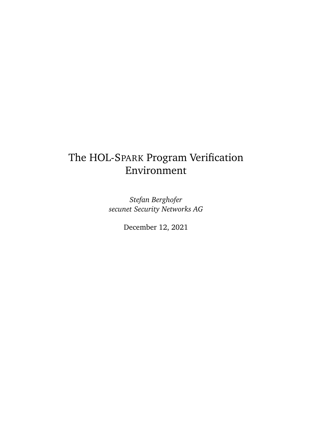# The HOL-SPARK Program Verification Environment

*Stefan Berghofer secunet Security Networks AG*

December 12, 2021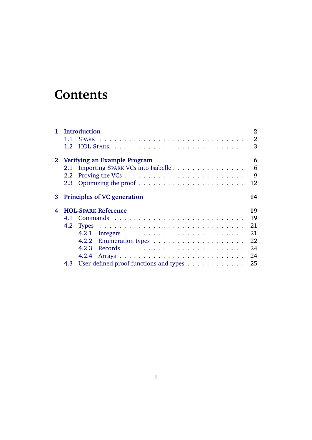# **Contents**

|   | 1 Introduction                                | $\overline{2}$ |  |
|---|-----------------------------------------------|----------------|--|
|   | $1.1 -$                                       | $\overline{2}$ |  |
|   |                                               | 3              |  |
|   | 2 Verifying an Example Program                |                |  |
|   | Importing SPARK VCs into Isabelle<br>2.1      | 6              |  |
|   | 2.2                                           | 9              |  |
|   | 2.3                                           | 12             |  |
|   | 3 Principles of VC generation<br>14           |                |  |
| 4 | <b>HOL-SPARK Reference</b><br>19              |                |  |
|   |                                               | 19             |  |
|   | 4.2                                           | 21             |  |
|   | 4.2.1                                         | 21             |  |
|   | 4.2.2                                         | 22             |  |
|   | 4.2.3                                         | 24             |  |
|   | 4.2.4                                         | 24             |  |
|   | User-defined proof functions and types<br>4.3 | 25             |  |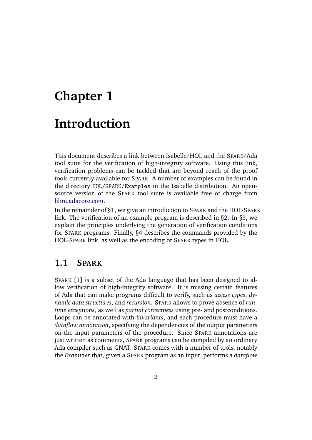# <span id="page-2-0"></span>**Chapter 1 Introduction**

This document describes a link between Isabelle/HOL and the SPARK/Ada tool suite for the verification of high-integrity software. Using this link, verification problems can be tackled that are beyond reach of the proof tools currently available for SPARK. A number of examples can be found in the directory HOL/SPARK/Examples in the Isabelle distribution. An opensource version of the SPARK tool suite is available free of charge from [libre.adacore.com.](http://libre.adacore.com)

In the remainder of [§1,](#page-2-0) we give an introduction to SPARK and the HOL-SPARK link. The verification of an example program is described in [§2.](#page-6-0) In [§3,](#page-14-0) we explain the principles underlying the generation of verification conditions for SPARK programs. Finally, [§4](#page-19-0) describes the commands provided by the HOL-SPARK link, as well as the encoding of SPARK types in HOL.

# <span id="page-2-1"></span>**1.1 SPARK**

SPARK [\[1\]](#page-29-0) is a subset of the Ada language that has been designed to allow verification of high-integrity software. It is missing certain features of Ada that can make programs difficult to verify, such as *access types*, *dynamic data structures*, and *recursion*. SPARK allows to prove absence of *runtime exceptions*, as well as *partial correctness* using pre- and postconditions. Loops can be annotated with *invariants*, and each procedure must have a *dataflow annotation*, specifying the dependencies of the output parameters on the input parameters of the procedure. Since SPARK annotations are just written as comments, SPARK programs can be compiled by an ordinary Ada compiler such as GNAT. SPARK comes with a number of tools, notably the *Examiner* that, given a SPARK program as an input, performs a *dataflow*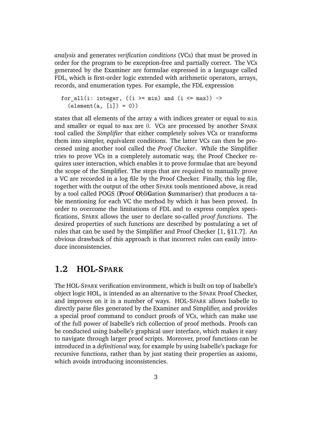*analysis* and generates *verification conditions* (VCs) that must be proved in order for the program to be exception-free and partially correct. The VCs generated by the Examiner are formulae expressed in a language called FDL, which is first-order logic extended with arithmetic operators, arrays, records, and enumeration types. For example, the FDL expression

```
for_all(i: integer, ((i \geq min) and (i \leq max)) \rightarrow\text{(element}(a, [i]) = 0)
```
states that all elements of the array a with indices greater or equal to min and smaller or equal to max are 0. VCs are processed by another SPARK tool called the *Simplifier* that either completely solves VCs or transforms them into simpler, equivalent conditions. The latter VCs can then be processed using another tool called the *Proof Checker*. While the Simplifier tries to prove VCs in a completely automatic way, the Proof Checker requires user interaction, which enables it to prove formulae that are beyond the scope of the Simplifier. The steps that are required to manually prove a VC are recorded in a log file by the Proof Checker. Finally, this log file, together with the output of the other SPARK tools mentioned above, is read by a tool called POGS (**P**roof **O**bli**G**ation **S**ummariser) that produces a table mentioning for each VC the method by which it has been proved. In order to overcome the limitations of FDL and to express complex specifications, SPARK allows the user to declare so-called *proof functions*. The desired properties of such functions are described by postulating a set of rules that can be used by the Simplifier and Proof Checker [\[1,](#page-29-0) §11.7]. An obvious drawback of this approach is that incorrect rules can easily introduce inconsistencies.

### <span id="page-3-0"></span>**1.2 HOL-SPARK**

The HOL-SPARK verification environment, which is built on top of Isabelle's object logic HOL, is intended as an alternative to the SPARK Proof Checker, and improves on it in a number of ways. HOL-SPARK allows Isabelle to directly parse files generated by the Examiner and Simplifier, and provides a special proof command to conduct proofs of VCs, which can make use of the full power of Isabelle's rich collection of proof methods. Proofs can be conducted using Isabelle's graphical user interface, which makes it easy to navigate through larger proof scripts. Moreover, proof functions can be introduced in a *definitional* way, for example by using Isabelle's package for recursive functions, rather than by just stating their properties as axioms, which avoids introducing inconsistencies.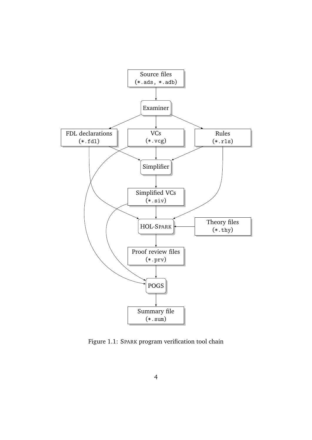

<span id="page-4-0"></span>Figure 1.1: SPARK program verification tool chain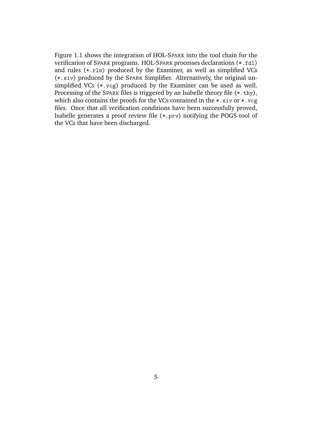Figure [1.1](#page-4-0) shows the integration of HOL-SPARK into the tool chain for the verification of SPARK programs. HOL-SPARK processes declarations (\*.fdl) and rules (\*.rls) produced by the Examiner, as well as simplified VCs (\*.siv) produced by the SPARK Simplifier. Alternatively, the original unsimplified VCs  $(*.vcg)$  produced by the Examiner can be used as well. Processing of the SPARK files is triggered by an Isabelle theory file (\*.thy), which also contains the proofs for the VCs contained in the  $*$ . siv or  $*$ . vcg files. Once that all verification conditions have been successfully proved, Isabelle generates a proof review file (\*.prv) notifying the POGS tool of the VCs that have been discharged.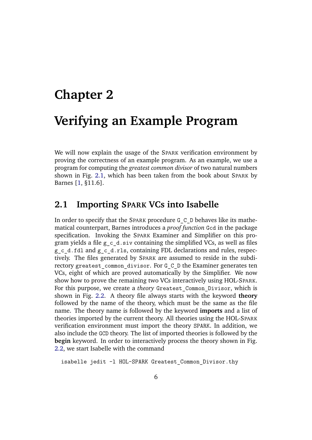# <span id="page-6-0"></span>**Chapter 2 Verifying an Example Program**

We will now explain the usage of the SPARK verification environment by proving the correctness of an example program. As an example, we use a program for computing the *greatest common divisor* of two natural numbers shown in Fig. [2.1,](#page-7-0) which has been taken from the book about SPARK by Barnes [\[1,](#page-29-0) §11.6].

# <span id="page-6-1"></span>**2.1 Importing SPARK VCs into Isabelle**

In order to specify that the SPARK procedure G\_C\_D behaves like its mathematical counterpart, Barnes introduces a *proof function* Gcd in the package specification. Invoking the SPARK Examiner and Simplifier on this program yields a file  $g \circ d.siv$  containing the simplified VCs, as well as files g\_c\_d.fdl and g\_c\_d.rls, containing FDL declarations and rules, respectively. The files generated by SPARK are assumed to reside in the subdirectory greatest\_common\_divisor. For G\_C\_D the Examiner generates ten VCs, eight of which are proved automatically by the Simplifier. We now show how to prove the remaining two VCs interactively using HOL-SPARK. For this purpose, we create a *theory* Greatest\_Common\_Divisor, which is shown in Fig. [2.2.](#page-8-0) A theory file always starts with the keyword **theory** followed by the name of the theory, which must be the same as the file name. The theory name is followed by the keyword **imports** and a list of theories imported by the current theory. All theories using the HOL-SPARK verification environment must import the theory SPARK. In addition, we also include the GCD theory. The list of imported theories is followed by the **begin** keyword. In order to interactively process the theory shown in Fig. [2.2,](#page-8-0) we start Isabelle with the command

isabelle jedit -l HOL-SPARK Greatest\_Common\_Divisor.thy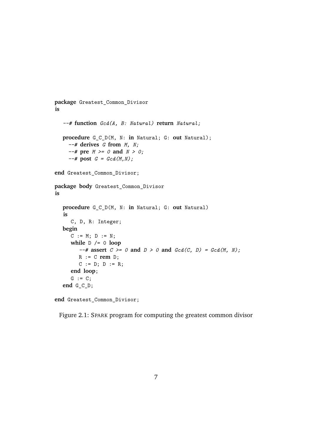```
package Greatest_Common_Divisor
is
  --# function Gcd(A, B: Natural) return Natural;
  procedure G_C_D(M, N: in Natural; G: out Natural);
    --# derives G from M, N;
    --# pre M >= 0 and N > 0;
    --# post G = Gcd(M,N);
end Greatest_Common_Divisor;
package body Greatest_Common_Divisor
is
  procedure G_C_D(M, N: in Natural; G: out Natural)
  is
     C, D, R: Integer;
  begin
     C := M; D := N;while D /= 0 loop
        --# assert C \ge 0 and D \ge 0 and Gcd(C, D) = Gcd(M, N);
        R := C rem D;
        C := D; D := R;end loop;
     G := C;
  end G_C_D;
```
**end** Greatest\_Common\_Divisor;

<span id="page-7-0"></span>Figure 2.1: SPARK program for computing the greatest common divisor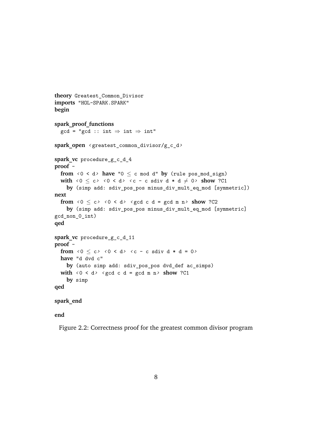```
theory Greatest_Common_Divisor
imports "HOL-SPARK.SPARK"
begin
spark_proof_functions
  gcd = "gcd :: int \Rightarrow int \Rightarrow int"spark_open ‹ greatest_common_divisor/g_c_d›
spark_vc procedure_g_c_d_4
proof -
  from \langle 0 \rangle \langle 0 \rangle have "0 \leq c mod d" by (rule pos_mod_sign)
  with \langle 0 \le c \rangle \langle 0 \le d \rangle \langle c - c sdiv d * d \ne 0 show ?C1
     by (simp add: sdiv_pos_pos minus_div_mult_eq_mod [symmetric])
next
  from \langle 0 \le c \rangle \langle 0 \le d \rangle \langle \text{gcd } c \text{ d } = \text{gcd } m \text{ n } \rangle show ?C2
     by (simp add: sdiv_pos_pos minus_div_mult_eq_mod [symmetric]
gcd_non_0_int)
qed
spark_vc procedure_g_c_d_11
proof -
  from \langle 0 \le c \rangle \langle 0 \le d \rangle \langle c - c sdiv d * d = 0>
  have "d dvd c"
     by (auto simp add: sdiv_pos_pos dvd_def ac_simps)
  with \langle 0 \rangle \langle 0 \rangle \langle 0 \rangle \langle 0 \rangle \langle 0 \rangle c d = gcd m n > show ?C1
     by simp
qed
```

```
spark_end
```
**end**

<span id="page-8-0"></span>Figure 2.2: Correctness proof for the greatest common divisor program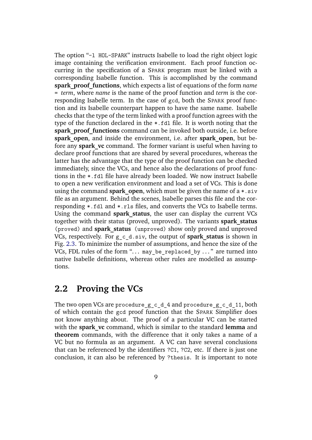The option "-l HOL-SPARK" instructs Isabelle to load the right object logic image containing the verification environment. Each proof function occurring in the specification of a SPARK program must be linked with a corresponding Isabelle function. This is accomplished by the command **spark\_proof\_functions**, which expects a list of equations of the form *name* = *term*, where *name* is the name of the proof function and *term* is the corresponding Isabelle term. In the case of gcd, both the SPARK proof function and its Isabelle counterpart happen to have the same name. Isabelle checks that the type of the term linked with a proof function agrees with the type of the function declared in the \*.fdl file. It is worth noting that the spark proof functions command can be invoked both outside, i.e. before **spark** open, and inside the environment, i.e. after **spark** open, but before any **spark** vc command. The former variant is useful when having to declare proof functions that are shared by several procedures, whereas the latter has the advantage that the type of the proof function can be checked immediately, since the VCs, and hence also the declarations of proof functions in the \*.fdl file have already been loaded. We now instruct Isabelle to open a new verification environment and load a set of VCs. This is done using the command **spark** open, which must be given the name of  $a * . siv$ file as an argument. Behind the scenes, Isabelle parses this file and the corresponding \*.fdl and \*.rls files, and converts the VCs to Isabelle terms. Using the command **spark\_status**, the user can display the current VCs together with their status (proved, unproved). The variants **spark\_status** (proved) and **spark\_status** (unproved) show only proved and unproved VCs, respectively. For g\_c\_d.siv, the output of **spark\_status** is shown in Fig. [2.3.](#page-10-0) To minimize the number of assumptions, and hence the size of the VCs, FDL rules of the form "... may\_be\_replaced\_by ..." are turned into native Isabelle definitions, whereas other rules are modelled as assumptions.

### <span id="page-9-0"></span>**2.2 Proving the VCs**

The two open VCs are procedure  $g\,c\,d\,4$  and procedure  $g\,c\,d\,11$ , both of which contain the gcd proof function that the SPARK Simplifier does not know anything about. The proof of a particular VC can be started with the **spark** vc command, which is similar to the standard **lemma** and **theorem** commands, with the difference that it only takes a name of a VC but no formula as an argument. A VC can have several conclusions that can be referenced by the identifiers ?C1, ?C2, etc. If there is just one conclusion, it can also be referenced by ?thesis. It is important to note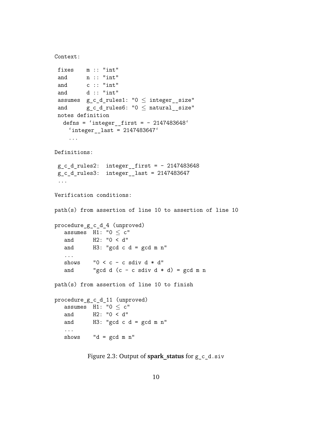```
Context:
```

```
fixes m :: "int"
and n :: "int"
and c :: "int"
and d:: "int"
assumes g_c_d_rules1: "0 \leq integer_size"
and gcdrules6: "0 \leq natural size"
notes definition
  defns = 'integer first = - 2147483648'
    'integer last = 2147483647'...
Definitions:
g c d rules2: integer first = - 2147483648
g_c_d_rules3: integer__last = 2147483647
 ...
Verification conditions:
path(s) from assertion of line 10 to assertion of line 10
procedure_g_c_d_4 (unproved)
  assumes H1: "0 < c"and H2: "0 < d"
  and H3: "gcd c d = gcd m n"...
  shows "0 < c - c sdiv d * d"
  and "gcd d (c - c sdiv d * d) = gcd m npath(s) from assertion of line 10 to finish
procedure_g_c_d_11 (unproved)
  assumes H1: "0 < c"and H2: "0 < d"
  and H3: "gcd c d = gcd m n"...
  shows "d = gcd m n"
```
<span id="page-10-0"></span>Figure 2.3: Output of **spark\_status** for g\_c\_d.siv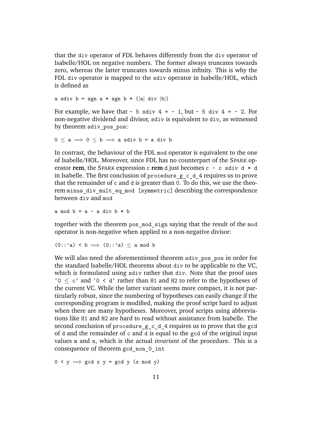that the div operator of FDL behaves differently from the div operator of Isabelle/HOL on negative numbers. The former always truncates towards zero, whereas the latter truncates towards minus infinity. This is why the FDL div operator is mapped to the sdiv operator in Isabelle/HOL, which is defined as

a sdiv  $b = sgn a * sgn b * (|a| div |b|)$ 

For example, we have that  $-5$  sdiv  $4 = -1$ , but  $-5$  div  $4 = -2$ . For non-negative dividend and divisor, sdiv is equivalent to div, as witnessed by theorem sdiv pos pos:

 $0 \le a \implies 0 \le b \implies a$  sdiv  $b = a$  div b

In contrast, the behaviour of the FDL mod operator is equivalent to the one of Isabelle/HOL. Moreover, since FDL has no counterpart of the SPARK operator **rem**, the SPARK expression c **rem** d just becomes c - c sdiv d \* d in Isabelle. The first conclusion of procedure g c d 4 requires us to prove that the remainder of c and d is greater than 0. To do this, we use the theorem minus div mult eq mod [symmetric] describing the correspondence between div and mod

a mod  $b = a - a$  div  $b * b$ 

together with the theorem pos\_mod\_sign saying that the result of the mod operator is non-negative when applied to a non-negative divisor:

$$
(0::'a) < b \implies (0::'a) \le a \mod b
$$

We will also need the aforementioned theorem sdiv pos pos in order for the standard Isabelle/HOL theorems about div to be applicable to the VC, which is formulated using sdiv rather that div. Note that the proof uses '0 ≤ c' and '0 < d' rather than H1 and H2 to refer to the hypotheses of the current VC. While the latter variant seems more compact, it is not particularly robust, since the numbering of hypotheses can easily change if the corresponding program is modified, making the proof script hard to adjust when there are many hypotheses. Moreover, proof scripts using abbreviations like H1 and H2 are hard to read without assistance from Isabelle. The second conclusion of procedure\_g\_c\_d\_4 requires us to prove that the gcd of d and the remainder of c and d is equal to the gcd of the original input values m and n, which is the actual *invariant* of the procedure. This is a consequence of theorem gcd\_non\_0\_int

 $0 \le y \implies \gcd x \ y = \gcd y \ (x \mod y)$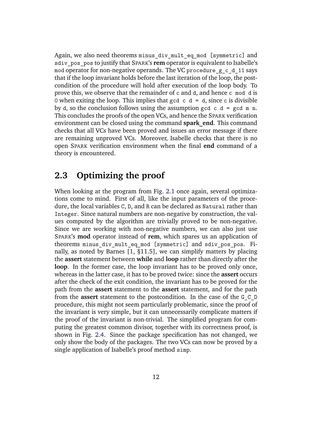Again, we also need theorems minus div mult eq mod [symmetric] and sdiv pos pos to justify that SPARK's **rem** operator is equivalent to Isabelle's mod operator for non-negative operands. The VC procedure  $g_c$  d 11 says that if the loop invariant holds before the last iteration of the loop, the postcondition of the procedure will hold after execution of the loop body. To prove this, we observe that the remainder of c and d, and hence c mod d is 0 when exiting the loop. This implies that gcd  $c$  d = d, since c is divisible by d, so the conclusion follows using the assumption gcd  $c$  d = gcd m n. This concludes the proofs of the open VCs, and hence the SPARK verification environment can be closed using the command **spark\_end**. This command checks that all VCs have been proved and issues an error message if there are remaining unproved VCs. Moreover, Isabelle checks that there is no open SPARK verification environment when the final **end** command of a theory is encountered.

# <span id="page-12-0"></span>**2.3 Optimizing the proof**

When looking at the program from Fig. [2.1](#page-7-0) once again, several optimizations come to mind. First of all, like the input parameters of the procedure, the local variables C, D, and R can be declared as Natural rather than Integer. Since natural numbers are non-negative by construction, the values computed by the algorithm are trivially proved to be non-negative. Since we are working with non-negative numbers, we can also just use SPARK's **mod** operator instead of **rem**, which spares us an application of theorems minus div mult eq mod [symmetric] and sdiv pos pos. Finally, as noted by Barnes [\[1,](#page-29-0) §11.5], we can simplify matters by placing the **assert** statement between **while** and **loop** rather than directly after the **loop**. In the former case, the loop invariant has to be proved only once, whereas in the latter case, it has to be proved twice: since the **assert** occurs after the check of the exit condition, the invariant has to be proved for the path from the **assert** statement to the **assert** statement, and for the path from the **assert** statement to the postcondition. In the case of the G\_C\_D procedure, this might not seem particularly problematic, since the proof of the invariant is very simple, but it can unnecessarily complicate matters if the proof of the invariant is non-trivial. The simplified program for computing the greatest common divisor, together with its correctness proof, is shown in Fig. [2.4.](#page-13-0) Since the package specification has not changed, we only show the body of the packages. The two VCs can now be proved by a single application of Isabelle's proof method simp.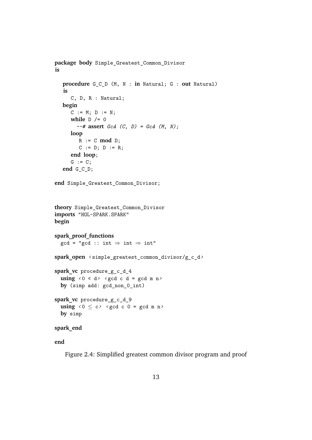```
package body Simple_Greatest_Common_Divisor
is
   procedure G_C_D (M, N : in Natural; G : out Natural)
   is
      C, D, R : Natural;
   begin
      C := M; D := N;while D /= 0
        --# assert Gcd (C, D) = Gcd (M, N);
      loop
         R := C \mod D;
         C := D; D := R;end loop;
      G := C;end G_C_D;
end Simple_Greatest_Common_Divisor;
theory Simple_Greatest_Common_Divisor
imports "HOL-SPARK.SPARK"
begin
spark_proof_functions
  gcd = "gcd :: int \Rightarrow int \Rightarrow int"spark_open ‹ simple_greatest_common_divisor/g_c_d›
spark_vc procedure_g_c_d_4
  using \langle 0 \rangle \langle 0 \rangle \langle 0 \rangle \langle 0 \rangle c d = gcd m n \rangleby (simp add: gcd_non_0_int)
spark_vc procedure_g_c_d_9
  using \le 0 \le c \le \le c \le c \le c \le c \le 0 = \gcd m n
  by simp
spark_end
```

```
end
```
<span id="page-13-0"></span>Figure 2.4: Simplified greatest common divisor program and proof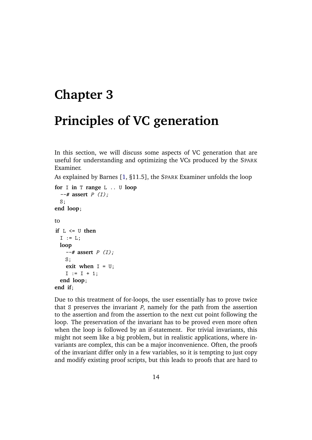# <span id="page-14-0"></span>**Chapter 3 Principles of VC generation**

In this section, we will discuss some aspects of VC generation that are useful for understanding and optimizing the VCs produced by the SPARK Examiner.

As explained by Barnes [\[1,](#page-29-0) §11.5], the SPARK Examiner unfolds the loop

```
for I in T range L .. U loop
  --# assert P (I);
 S;
end loop;
to
if L <= U then
 I := I.:
 loop
    --# assert P (I);
   S;
    exit when I = U;
    I := I + 1;end loop;
end if;
```
Due to this treatment of for-loops, the user essentially has to prove twice that S preserves the invariant *P*, namely for the path from the assertion to the assertion and from the assertion to the next cut point following the loop. The preservation of the invariant has to be proved even more often when the loop is followed by an if-statement. For trivial invariants, this might not seem like a big problem, but in realistic applications, where invariants are complex, this can be a major inconvenience. Often, the proofs of the invariant differ only in a few variables, so it is tempting to just copy and modify existing proof scripts, but this leads to proofs that are hard to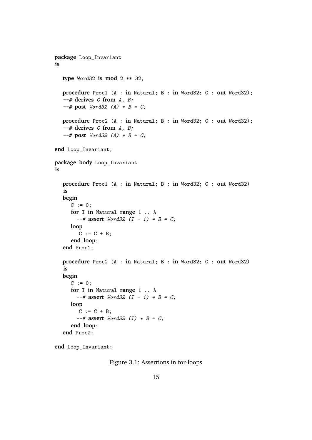```
package Loop_Invariant
is
  type Word32 is mod 2 ** 32;
  procedure Proc1 (A : in Natural; B : in Word32; C : out Word32);
  --# derives C from A, B;
  --# post Word32 (A) * B = C;
  procedure Proc2 (A : in Natural; B : in Word32; C : out Word32);
  --# derives C from A, B;
  --# post Word32 (A) * B = C;
end Loop_Invariant;
package body Loop_Invariant
is
  procedure Proc1 (A : in Natural; B : in Word32; C : out Word32)
  is
  begin
     C := 0:
     for I in Natural range 1 .. A
       --# assert Word32 (I - 1) * B = C;
     loop
        C := C + B;end loop;
  end Proc1;
  procedure Proc2 (A : in Natural; B : in Word32; C : out Word32)
  is
  begin
     C := 0;for I in Natural range 1 .. A
       --# assert Word32 (I - 1) * B = C;
     loop
        C := C + B;--# assert Word32 (I) * B = C;
     end loop;
  end Proc2;
```
**end** Loop\_Invariant;

<span id="page-15-0"></span>Figure 3.1: Assertions in for-loops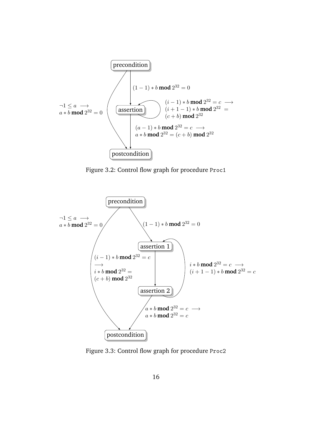

<span id="page-16-0"></span>Figure 3.2: Control flow graph for procedure Proc1



<span id="page-16-1"></span>Figure 3.3: Control flow graph for procedure Proc2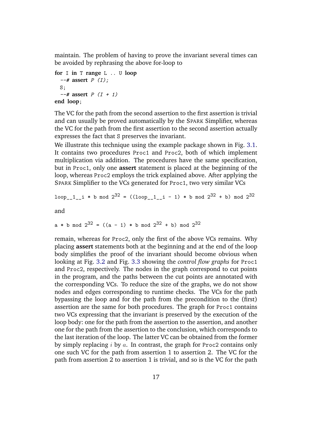maintain. The problem of having to prove the invariant several times can be avoided by rephrasing the above for-loop to

```
for I in T range L .. U loop
  --# assert P (I);
 S;
  --# assert P (I + 1)
end loop;
```
The VC for the path from the second assertion to the first assertion is trivial and can usually be proved automatically by the SPARK Simplifier, whereas the VC for the path from the first assertion to the second assertion actually expresses the fact that S preserves the invariant.

We illustrate this technique using the example package shown in Fig. [3.1.](#page-15-0) It contains two procedures Proc1 and Proc2, both of which implement multiplication via addition. The procedures have the same specification, but in Proc1, only one **assert** statement is placed at the beginning of the loop, whereas Proc2 employs the trick explained above. After applying the SPARK Simplifier to the VCs generated for Proc1, two very similar VCs

loop\_1\_ i \* b mod 
$$
2^{32}
$$
 = ((loop\_1\_i - 1) \* b mod  $2^{32}$  + b) mod  $2^{32}$ 

and

$$
a * b \mod 2^{32} = ((a - 1) * b \mod 2^{32} + b) \mod 2^{32}
$$

remain, whereas for Proc2, only the first of the above VCs remains. Why placing **assert** statements both at the beginning and at the end of the loop body simplifies the proof of the invariant should become obvious when looking at Fig. [3.2](#page-16-0) and Fig. [3.3](#page-16-1) showing the *control flow graphs* for Proc1 and Proc2, respectively. The nodes in the graph correspond to cut points in the program, and the paths between the cut points are annotated with the corresponding VCs. To reduce the size of the graphs, we do not show nodes and edges corresponding to runtime checks. The VCs for the path bypassing the loop and for the path from the precondition to the (first) assertion are the same for both procedures. The graph for Proc1 contains two VCs expressing that the invariant is preserved by the execution of the loop body: one for the path from the assertion to the assertion, and another one for the path from the assertion to the conclusion, which corresponds to the last iteration of the loop. The latter VC can be obtained from the former by simply replacing  $i$  by  $a$ . In contrast, the graph for Proc2 contains only one such VC for the path from assertion 1 to assertion 2. The VC for the path from assertion 2 to assertion 1 is trivial, and so is the VC for the path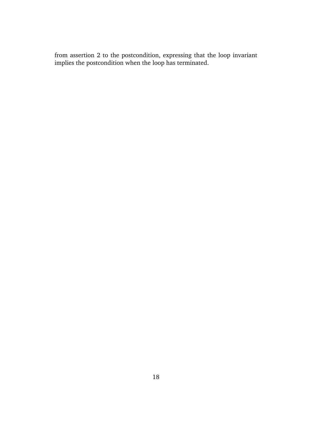from assertion 2 to the postcondition, expressing that the loop invariant implies the postcondition when the loop has terminated.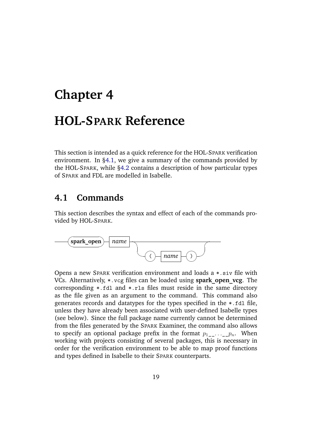# <span id="page-19-0"></span>**Chapter 4 HOL-SPARK Reference**

This section is intended as a quick reference for the HOL-SPARK verification environment. In [§4.1,](#page-19-1) we give a summary of the commands provided by the HOL-SPARK, while [§4.2](#page-21-0) contains a description of how particular types of SPARK and FDL are modelled in Isabelle.

## <span id="page-19-1"></span>**4.1 Commands**

This section describes the syntax and effect of each of the commands provided by HOL-SPARK.



Opens a new SPARK verification environment and loads a \*.siv file with VCs. Alternatively, \*.vcg files can be loaded using **spark\_open\_vcg**. The corresponding \*.fdl and \*.rls files must reside in the same directory as the file given as an argument to the command. This command also generates records and datatypes for the types specified in the \*.fdl file, unless they have already been associated with user-defined Isabelle types (see below). Since the full package name currently cannot be determined from the files generated by the SPARK Examiner, the command also allows to specify an optional package prefix in the format  $p_1$ ...  $p_n$ . When working with projects consisting of several packages, this is necessary in order for the verification environment to be able to map proof functions and types defined in Isabelle to their SPARK counterparts.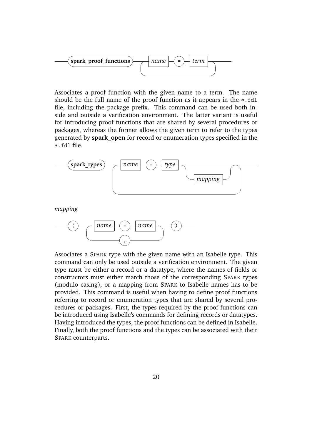

Associates a proof function with the given name to a term. The name should be the full name of the proof function as it appears in the \*.fdl file, including the package prefix. This command can be used both inside and outside a verification environment. The latter variant is useful for introducing proof functions that are shared by several procedures or packages, whereas the former allows the given term to refer to the types generated by **spark\_open** for record or enumeration types specified in the \*.fdl file.



*mapping*



Associates a SPARK type with the given name with an Isabelle type. This command can only be used outside a verification environment. The given type must be either a record or a datatype, where the names of fields or constructors must either match those of the corresponding SPARK types (modulo casing), or a mapping from SPARK to Isabelle names has to be provided. This command is useful when having to define proof functions referring to record or enumeration types that are shared by several procedures or packages. First, the types required by the proof functions can be introduced using Isabelle's commands for defining records or datatypes. Having introduced the types, the proof functions can be defined in Isabelle. Finally, both the proof functions and the types can be associated with their SPARK counterparts.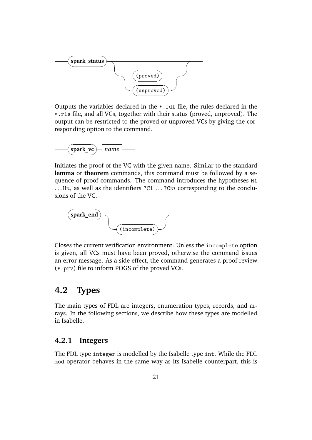

Outputs the variables declared in the \*.fdl file, the rules declared in the \*.rls file, and all VCs, together with their status (proved, unproved). The output can be restricted to the proved or unproved VCs by giving the corresponding option to the command.



Initiates the proof of the VC with the given name. Similar to the standard **lemma** or **theorem** commands, this command must be followed by a sequence of proof commands. The command introduces the hypotheses H1 ... Hn, as well as the identifiers  $?C1$  ...  $?Cm$  corresponding to the conclusions of the VC.



Closes the current verification environment. Unless the incomplete option is given, all VCs must have been proved, otherwise the command issues an error message. As a side effect, the command generates a proof review (\*.prv) file to inform POGS of the proved VCs.

## <span id="page-21-0"></span>**4.2 Types**

The main types of FDL are integers, enumeration types, records, and arrays. In the following sections, we describe how these types are modelled in Isabelle.

### <span id="page-21-1"></span>**4.2.1 Integers**

The FDL type integer is modelled by the Isabelle type int. While the FDL mod operator behaves in the same way as its Isabelle counterpart, this is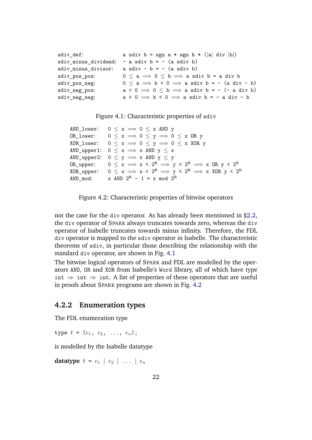```
sdiv_def: <br>a sdiv b = sgn a * sgn b * (|a| div |b|)
sdiv minus dividend: - a sdiv b = - (a sdiv b)
sdiv_minus_divisor: a sdiv - b = - (a sdiv b)
sdiv pos pos: 0 \le a \implies 0 \le b \implies a sdiv b = a div b
sdiv_pos_neg: 0 \le a \implies b \le 0 \implies a sdiv b = - (a div - b)
sdiv_neg_pos: a < 0 \implies 0 \le b \implies a sdiv b = -(-a \text{ div } b)sdiv_neg_neg: a < 0 \implies b < 0 \implies a sdiv b = -a div - b
```
<span id="page-22-1"></span>Figure 4.1: Characteristic properties of sdiv

```
AND lower: 0 \le x \implies 0 \le x AND y
OR_lower: 0 \le x \implies 0 \le y \implies 0 \le x OR y
XOR_lower: 0 \le x \implies 0 \le y \implies 0 \le x XOR y
AND_upper1: 0 \le x \implies x AND y \le xAND upper2: 0 \le y \implies x AND y \le yOR upper: 0 \le x \implies x \le 2^n \implies y \le 2^n \implies x OR y \le 2^nXOR upper: 0 \le x \implies x \le 2^n \implies y \le 2^n \implies x XOR y \le 2^nAND mod: x AND 2^n - 1 = x mod 2^n
```
<span id="page-22-2"></span>Figure 4.2: Characteristic properties of bitwise operators

not the case for the div operator. As has already been mentioned in [§2.2,](#page-9-0) the div operator of SPARK always truncates towards zero, whereas the div operator of Isabelle truncates towards minus infinity. Therefore, the FDL div operator is mapped to the sdiv operator in Isabelle. The characteristic theorems of sdiv, in particular those describing the relationship with the standard div operator, are shown in Fig. [4.1](#page-22-1)

The bitwise logical operators of SPARK and FDL are modelled by the operators AND, OR and XOR from Isabelle's Word library, all of which have type int  $\Rightarrow$  int  $\Rightarrow$  int. A list of properties of these operators that are useful in proofs about SPARK programs are shown in Fig. [4.2](#page-22-2)

### <span id="page-22-0"></span>**4.2.2 Enumeration types**

The FDL enumeration type

type  $t = (e_1, e_2, \ldots, e_n);$ 

is modelled by the Isabelle datatype

**datatype**  $t = e_1 | e_2 | \ldots | e_n$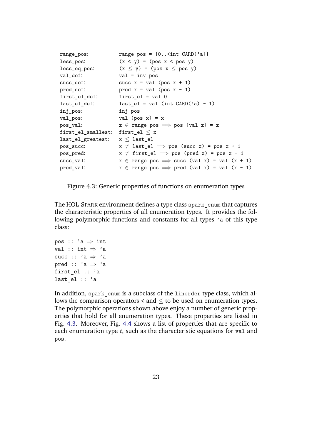| range_pos:                           | range pos = $\{0\text{sint } \text{CARD}('a)\}\$                                   |
|--------------------------------------|------------------------------------------------------------------------------------|
| less_pos:                            | $(x < y) = (pos x < pos y)$                                                        |
| less_eq_pos:                         | $(x \le y) = (pos x \le pos y)$                                                    |
| val_def:                             | $val = inv pos$                                                                    |
| succ_def:                            | succ $x = val (pos x + 1)$                                                         |
| pred_def:                            | pred $x = val$ (pos $x - 1$ )                                                      |
| first_el_def:                        | $first$ = $val$ 0                                                                  |
| last_el_def:                         | $last_e1 = val (int CARD('a) - 1)$                                                 |
| inj_pos:                             | inj pos                                                                            |
| val_pos:                             | val (pos $x$ ) = $x$                                                               |
| pos_val:                             | $z \in \text{range pos} \implies \text{pos} (\text{val } z) = z$                   |
| first_el_smallest: first_el $\leq$ x |                                                                                    |
| last_el_greatest:                    | $\texttt{x} \leq \texttt{last\_el}$                                                |
| pos_succ:                            | $x \neq$ last_el $\implies$ pos (succ x) = pos x + 1                               |
| pos_pred:                            | $x \neq$ first_el $\implies$ pos (pred x) = pos x - 1                              |
| succ_val:                            | $x \in \text{range pos} \implies \text{succ} (\text{val } x) = \text{val} (x + 1)$ |
| pred_val:                            | $x \in \text{range pos} \implies \text{pred} (\text{val } x) = \text{val} (x - 1)$ |
|                                      |                                                                                    |

<span id="page-23-0"></span>Figure 4.3: Generic properties of functions on enumeration types

The HOL-SPARK environment defines a type class spark enum that captures the characteristic properties of all enumeration types. It provides the following polymorphic functions and constants for all types 'a of this type class:

```
pos :: a \Rightarrow int
val :: int \Rightarrow 'a
succ :: a \Rightarrow apred :: 'a \Rightarrow 'a
first el :: 'a
last el :: 'a
```
In addition, spark\_enum is a subclass of the linorder type class, which allows the comparison operators  $\lt$  and  $\lt$  to be used on enumeration types. The polymorphic operations shown above enjoy a number of generic properties that hold for all enumeration types. These properties are listed in Fig. [4.3.](#page-23-0) Moreover, Fig. [4.4](#page-24-2) shows a list of properties that are specific to each enumeration type  $t$ , such as the characteristic equations for val and pos.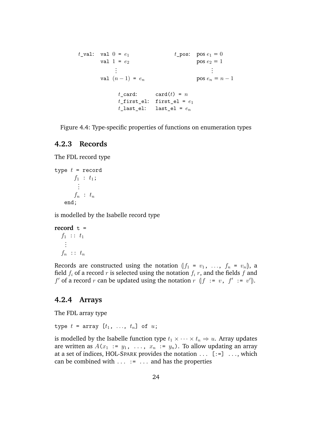```
t_val: val 0 = e_1 t_pos: pos e_1 = 0val 1 = e_2 pos e_2 = 1.
.
.
                                      .
.
.
      val (n-1) = e_n pos e_n = n-1t<sub>card</sub>: card(t) = nt_first_el: first_el = e_1t last el: last el = e_n
```
<span id="page-24-2"></span>Figure 4.4: Type-specific properties of functions on enumeration types

### <span id="page-24-0"></span>**4.2.3 Records**

The FDL record type

```
type t = record
      f_1 : t_1;...
      f_n : t_nend;
```
is modelled by the Isabelle record type

```
record t =f_1 :: t_1...
  f_n :: t_n
```
Records are constructed using the notation  $(f_1 = v_1, \ldots, f_n = v_n)$ , a field  $f_i$  of a record r is selected using the notation  $f_i$  r, and the fields f and f' of a record r can be updated using the notation  $r \in [f := v, f' := v']$ .

#### <span id="page-24-1"></span>**4.2.4 Arrays**

The FDL array type

type  $t = \arctan[t_1, ..., t_n]$  of  $u$ ;

is modelled by the Isabelle function type  $t_1 \times \cdots \times t_n \Rightarrow u$ . Array updates are written as  $A(x_1 := y_1, \ldots, x_n := y_n)$ . To allow updating an array at a set of indices, HOL-SPARK provides the notation ... [:=] ..., which can be combined with  $\dots$  :=  $\dots$  and has the properties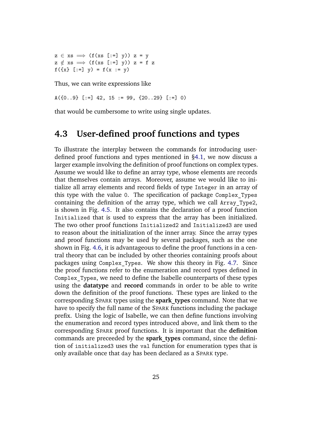$z \in xs \implies (f(xs [-x]))$   $z = y$  $z \notin xs \implies (f(xs [-x])) z = f z$  $f(\{x\}$  [:=]  $y) = f(x := y)$ 

Thus, we can write expressions like

 $A({0..9} [:=] 42, 15 := 99, {20..29} [:=] 0)$ 

that would be cumbersome to write using single updates.

### <span id="page-25-0"></span>**4.3 User-defined proof functions and types**

To illustrate the interplay between the commands for introducing userdefined proof functions and types mentioned in [§4.1,](#page-19-1) we now discuss a larger example involving the definition of proof functions on complex types. Assume we would like to define an array type, whose elements are records that themselves contain arrays. Moreover, assume we would like to initialize all array elements and record fields of type Integer in an array of this type with the value 0. The specification of package Complex\_Types containing the definition of the array type, which we call Array\_Type2, is shown in Fig. [4.5.](#page-26-0) It also contains the declaration of a proof function Initialized that is used to express that the array has been initialized. The two other proof functions Initialized2 and Initialized3 are used to reason about the initialization of the inner array. Since the array types and proof functions may be used by several packages, such as the one shown in Fig. [4.6,](#page-27-0) it is advantageous to define the proof functions in a central theory that can be included by other theories containing proofs about packages using Complex\_Types. We show this theory in Fig. [4.7.](#page-28-0) Since the proof functions refer to the enumeration and record types defined in Complex\_Types, we need to define the Isabelle counterparts of these types using the **datatype** and **record** commands in order to be able to write down the definition of the proof functions. These types are linked to the corresponding SPARK types using the **spark\_types** command. Note that we have to specify the full name of the SPARK functions including the package prefix. Using the logic of Isabelle, we can then define functions involving the enumeration and record types introduced above, and link them to the corresponding SPARK proof functions. It is important that the **definition** commands are preceeded by the **spark\_types** command, since the definition of initialized3 uses the val function for enumeration types that is only available once that day has been declared as a SPARK type.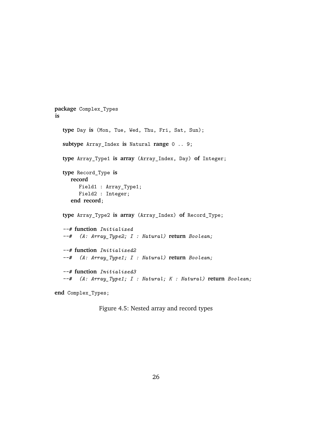```
package Complex_Types
is
  type Day is (Mon, Tue, Wed, Thu, Fri, Sat, Sun);
  subtype Array_Index is Natural range 0 .. 9;
  type Array_Type1 is array (Array_Index, Day) of Integer;
  type Record_Type is
     record
        Field1 : Array_Type1;
        Field2 : Integer;
     end record;
  type Array_Type2 is array (Array_Index) of Record_Type;
  --# function Initialized
  --# (A: Array_Type2; I : Natural) return Boolean;
  --# function Initialized2
  --# (A: Array_Type1; I : Natural) return Boolean;
  --# function Initialized3
  --# (A: Array_Type1; I : Natural; K : Natural) return Boolean;
```

```
end Complex_Types;
```

```
Figure 4.5: Nested array and record types
```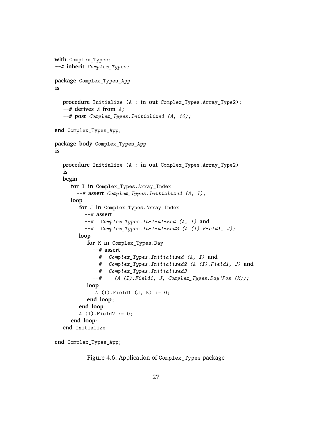```
with Complex_Types;
--# inherit Complex_Types;
package Complex_Types_App
is
  procedure Initialize (A : in out Complex_Types.Array_Type2);
  --# derives A from A;
  --# post Complex_Types.Initialized (A, 10);
end Complex_Types_App;
package body Complex_Types_App
is
  procedure Initialize (A : in out Complex_Types.Array_Type2)
  is
  begin
     for I in Complex_Types.Array_Index
       --# assert Complex_Types.Initialized (A, I);
     loop
        for J in Complex_Types.Array_Index
          --# assert
          --# Complex_Types.Initialized (A, I) and
          --# Complex_Types.Initialized2 (A (I).Field1, J);
        loop
           for K in Complex_Types.Day
             --# assert
             --# Complex_Types.Initialized (A, I) and
             --# Complex_Types.Initialized2 (A (I).Field1, J) and
             --# Complex_Types.Initialized3
             --# (A (I).Field1, J, Complex_Types.Day'Pos (K));
           loop
             A (I).Field1 (J, K) := 0;
           end loop;
        end loop;
        A (I). Field2 := 0;
     end loop;
  end Initialize;
```

```
end Complex_Types_App;
```
<span id="page-27-0"></span>Figure 4.6: Application of Complex\_Types package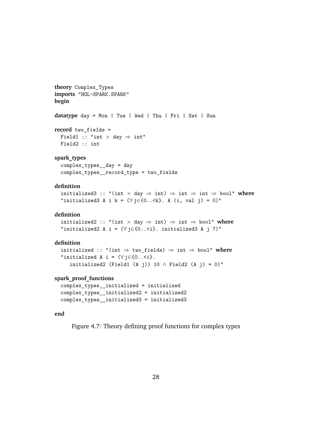```
theory Complex_Types
imports "HOL-SPARK.SPARK"
begin
datatype day = Mon | Tue | Wed | Thu | Fri | Sat | Sun
record two_fields =
  Field1 :: "int \times day \Rightarrow int"
 Field2 :: int
spark_types
  complex_types__day = day
  complex_types__record_type = two_fields
definition
  initialized3 :: "(int × day ⇒ int) ⇒ int ⇒ int ⇒ bool" where
  "initialized3 A i k = (\forall j \in \{0..5k\}. A (i, val j) = 0)"
definition
  initialized2 :: "(int × day ⇒ int) ⇒ int ⇒ bool" where
  "initialized2 A i = (\forall j \in \{0..5\}). initialized3 A j 7)"
definition
  initialized :: "(int ⇒ two_fields) ⇒ int ⇒ bool" where
  "initialized A i = (\forall j \in \{0..5\}).
     initialized2 (Field1 (A j)) 10 \land Field2 (A j) = 0)"
spark_proof_functions
```

```
complex_types__initialized = initialized
complex_types__initialized2 = initialized2
complex_types__initialized3 = initialized3
```
#### **end**

<span id="page-28-0"></span>Figure 4.7: Theory defining proof functions for complex types